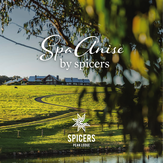# nise spicers

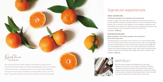

Spa Anise

*Spa Anise uses the Australian brand Waterlily and its sister brand Spaceuticals. Each product is hand crafted in their botanical laboratory in Brisbane embracing the principles of fresh batched beauty. Waterlily's heritage of slow skincare ensures that ingredients are nurtured from paddock to finished product to maintain the intensity and activity of each vital nutrient. Clean, green, transdermal and intensive to deliver visible results.*

Spa Anise at Spicers Peak Lodge is a beautiful, purpose-built mountaintop spa retreat with specially designed single and double treatment rooms, a plunge spa pool on the deck and relaxation lounge with open stone fireplace. It's the perfect way to unwind after a day spent exploring the natural beauty of the countryside.



### PEAK SIGNATURE

Full body massage, foot treatment and scalp ritual Indulge in a voyage of the senses. Start with a signature scented hot towel compress on your feet followed by a bamboo and spearmint foot scrub. You will then be guided into deep relaxation with our flowing full body massage and a foot massage with a gingko foot balm. Your treatment will be finished with a deeply nourishing and soothing scalp treatment using an infused orange hair mask. Guaranteed to leave you in a state of bliss.

1.5 hours - \$280 pp

### MOUNTAIN ESCAPE Back exfoliation, full body massage, foot treatment, facial and scalp ritual

A revitalizing therapy to fully pamper you from head to toe. This holistic treatment begins with a foot hot towel compress and foot scrub, then we move our way up for a ginger glaze salt back scrub. Melt away your stress and tension with a relaxing full body massage with your chosen Waterlily body bath oil serum. Your mountain escape journey continues with a tailored facial treatment designed to deeply cleanse, plump, smooth and hydrate the skin. Complete the experience with soothing scalp massage infused with an orange hair balm.

2 hours - \$340 pp



## Signature experiences

## **WATERLILY**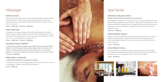Facial, hand and foot treatment and scalp ritual An anti-ageing facial treatment rich in essential oils and active botanicals designed to visibly transform, heal and replenish the skin. While skin is being purified and hydrated, your hands and feet are treated with soothing scrubs and massage using spearmint, ginkgo, bamboo and vitamin extracts. Your ritual of serenity is complete with a scalp massage infused with an orange hair masque.

1.5 hours - \$260 pp

### SKIN HYDRATE FACIAL

rejuvenate your skin.

A deeply nourishing and replenishing collagen enriching facial, packed with micro nutrients and floral and plant extracts to visibly smooth fine lines, repair and transform the skin. A tailor-made treatment infused in vitamin C, fruit acids and protein that will restore and

1 hour - \$200 pp

### SKIN RENEW FACIAL

A transformative skin ritual designed to rebalance and recondition dull and tired looking skin. Layered with Omega essential plant extracts, fruit enzymes, berries and refined citrus that will leave your skin looking bright, luminous, refreshed and revitalised.



1 hour - \$200 pp





### AROMA TOUCH

Harmonise your body's senses with this calming relaxation massage using a blend of pure botanical essential oils. Light to medium pressure will soothe aches and pains, ease nervous tension and promote healing, leaving you feeling blissful and relaxed. This is the perfect way to unwind.

1 hour - \$200 pp / 1.5 hours - \$260 pp

### BODY RESTORE

An energising, firmer style of massage, infused with blended healing oils to facilitate muscle recovery and rebalance energy and flow. Your skilled massage therapist will tailor your treatment with deep pressure and muscle release techniques to target sore and tight muscle areas. A revitalizing treat for your body and mind.

1 hour - \$220 pp / 1.5 hours - \$280 pp

### KAHUNA STONE THERAPY

A holistic full body therapeutic massage using hot basalt stones in synergy with rhythmic Hawaiian lomi-lomi techniques to release healing energies deep into the muscles. This treatment is deeply restorative to ease tension and mental stress, a calming sensory experience to harmonise life synergies to flow freely throughout the body, mind and spirit. 1.5 hours - \$280 pp

### PREGNANCY MASSAGE

### A specialised therapy for expecting mothers

A calming and soothing full body massage to gently nurture and ease tension in sore areas during pregnancy. Available in second and third trimester only.

1 hour - \$200 pp



### WATERLILY DELUXE FACIAL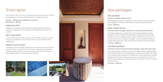## Spa packages

SPA GETAWAY Express massage and petit facial 1 hour - \$200 pp

A spa treatment that combines a massage in the areas you need it most with an express facial designed for all skin types. Walk away with a fresh and renewed healthy glow.

### PEAK LODGE RITUAL Hot stone back massage, petit facial, scalp and foot treatment

Your adventure begins with a soothing foot hot towel compress followed by a bamboo and spearmint foot scrub. Deeply immerse yourself in an experience of muscle melting proportions. A hot stone massage will work its magic on tight, tensed back muscles. Your journey continues with a facial designed to brighten, nourish and revitalize skin before a soothing scalp treatment with orange infused hair balm leaving you relaxed and enriched. 1.5 hours - \$280 pp

Let us pamper you with our ultimate spa journey. This deeply therapeutic treatment begins with a full body exfoliation and body mud wrap with a soothing scalp massage. Then indulge with a relaxing full body massage with rich blended body oil serum followed with a decadent Waterlily facial to hydrate and rejuvenate your skin for a soft and supple feel. Yield to the ultimate renewing, invigorating and grounding experience through the richness of nourishing pure essential oils.

### THE PEAK RETREAT Full body scrub and wrap, full body massage, facial and scalp ritual

2.5 hours - \$460 pp

Add to your bliss. Select one of our main treatments and add some 'extra spice' to enhance your spa escape, or choose one of these treatments as a standalone experience.

30 mins - \$80 per each additional treatment Standalone - \$120 pp

### FABULOUS FEET

Complete your spa experience with a relaxing foot massage. Bamboo and spearmint exfoliates and invigorates the skin, followed by a nourishing ginkgo and shea nut balm to hydrate.

### PETIT SPA FACIAL

An express facial designed to offer a quick pick-me-up to brighten, nourish and revitalise using pure cold pressed plant oils, fruit extracts, French clay and a hydrating infusion of essential oils.

### HEAD IN THE CLOUDS

A relaxing face and neck massage is followed by a pure botanical hair treatment and scalp massage to restore a supple mind and hair that shines. Delivering intense conditioning to revitalise damaged hair with a blend of jojoba, hazelnut and apricot oil fortified with marine collagen, mineral rich French clay and pro vitamin B5.









## 'Extra spice'